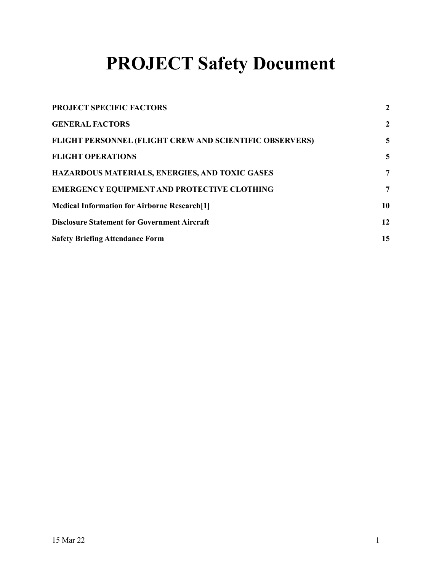# **PROJECT Safety Document**

| PROJECT SPECIFIC FACTORS                                | $\overline{2}$ |
|---------------------------------------------------------|----------------|
| <b>GENERAL FACTORS</b>                                  | $\overline{2}$ |
| FLIGHT PERSONNEL (FLIGHT CREW AND SCIENTIFIC OBSERVERS) | 5              |
| <b>FLIGHT OPERATIONS</b>                                | 5              |
| HAZARDOUS MATERIALS, ENERGIES, AND TOXIC GASES          | 7              |
| <b>EMERGENCY EQUIPMENT AND PROTECTIVE CLOTHING</b>      | $\overline{7}$ |
| <b>Medical Information for Airborne Research[1]</b>     | 10             |
| <b>Disclosure Statement for Government Aircraft</b>     | 12             |
| <b>Safety Briefing Attendance Form</b>                  | 15             |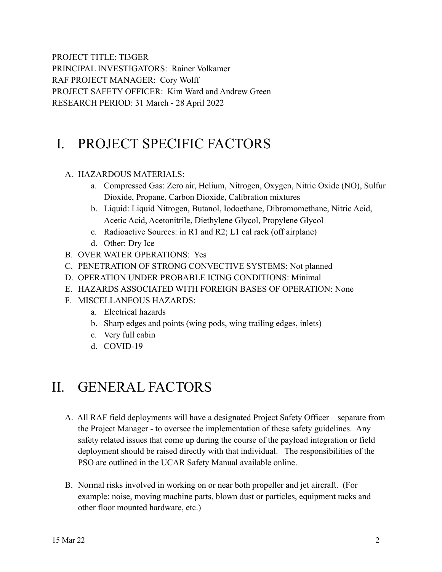PROJECT TITLE: TI3GER PRINCIPAL INVESTIGATORS: Rainer Volkamer RAF PROJECT MANAGER: Cory Wolff PROJECT SAFETY OFFICER: Kim Ward and Andrew Green RESEARCH PERIOD: 31 March - 28 April 2022

### <span id="page-1-0"></span>I. PROJECT SPECIFIC FACTORS

#### A. HAZARDOUS MATERIALS:

- a. Compressed Gas: Zero air, Helium, Nitrogen, Oxygen, Nitric Oxide (NO), Sulfur Dioxide, Propane, Carbon Dioxide, Calibration mixtures
- b. Liquid: Liquid Nitrogen, Butanol, Iodoethane, Dibromomethane, Nitric Acid, Acetic Acid, Acetonitrile, Diethylene Glycol, Propylene Glycol
- c. Radioactive Sources: in R1 and R2; L1 cal rack (off airplane)
- d. Other: Dry Ice
- B. OVER WATER OPERATIONS: Yes
- C. PENETRATION OF STRONG CONVECTIVE SYSTEMS: Not planned
- D. OPERATION UNDER PROBABLE ICING CONDITIONS: Minimal
- E. HAZARDS ASSOCIATED WITH FOREIGN BASES OF OPERATION: None
- F. MISCELLANEOUS HAZARDS:
	- a. Electrical hazards
	- b. Sharp edges and points (wing pods, wing trailing edges, inlets)
	- c. Very full cabin
	- d. COVID-19

### <span id="page-1-1"></span>II. GENERAL FACTORS

- A. All RAF field deployments will have a designated Project Safety Officer separate from the Project Manager - to oversee the implementation of these safety guidelines. Any safety related issues that come up during the course of the payload integration or field deployment should be raised directly with that individual. The responsibilities of the PSO are outlined in the UCAR Safety Manual available online.
- B. Normal risks involved in working on or near both propeller and jet aircraft. (For example: noise, moving machine parts, blown dust or particles, equipment racks and other floor mounted hardware, etc.)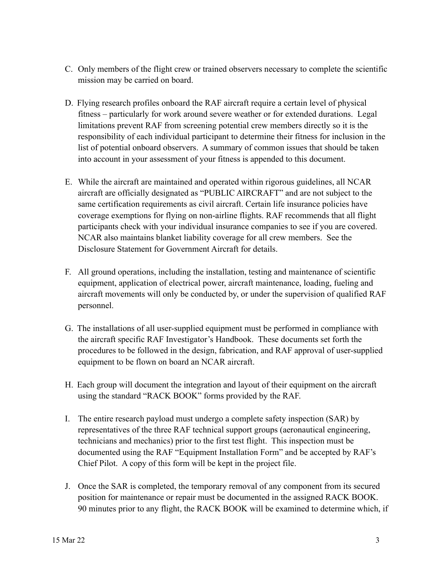- C. Only members of the flight crew or trained observers necessary to complete the scientific mission may be carried on board.
- D. Flying research profiles onboard the RAF aircraft require a certain level of physical fitness – particularly for work around severe weather or for extended durations. Legal limitations prevent RAF from screening potential crew members directly so it is the responsibility of each individual participant to determine their fitness for inclusion in the list of potential onboard observers. A summary of common issues that should be taken into account in your assessment of your fitness is appended to this document.
- E. While the aircraft are maintained and operated within rigorous guidelines, all NCAR aircraft are officially designated as "PUBLIC AIRCRAFT" and are not subject to the same certification requirements as civil aircraft. Certain life insurance policies have coverage exemptions for flying on non-airline flights. RAF recommends that all flight participants check with your individual insurance companies to see if you are covered. NCAR also maintains blanket liability coverage for all crew members. See the Disclosure Statement for Government Aircraft for details.
- F. All ground operations, including the installation, testing and maintenance of scientific equipment, application of electrical power, aircraft maintenance, loading, fueling and aircraft movements will only be conducted by, or under the supervision of qualified RAF personnel.
- G. The installations of all user-supplied equipment must be performed in compliance with the aircraft specific RAF Investigator's Handbook. These documents set forth the procedures to be followed in the design, fabrication, and RAF approval of user-supplied equipment to be flown on board an NCAR aircraft.
- H. Each group will document the integration and layout of their equipment on the aircraft using the standard "RACK BOOK" forms provided by the RAF.
- I. The entire research payload must undergo a complete safety inspection (SAR) by representatives of the three RAF technical support groups (aeronautical engineering, technicians and mechanics) prior to the first test flight. This inspection must be documented using the RAF "Equipment Installation Form" and be accepted by RAF's Chief Pilot. A copy of this form will be kept in the project file.
- J. Once the SAR is completed, the temporary removal of any component from its secured position for maintenance or repair must be documented in the assigned RACK BOOK. 90 minutes prior to any flight, the RACK BOOK will be examined to determine which, if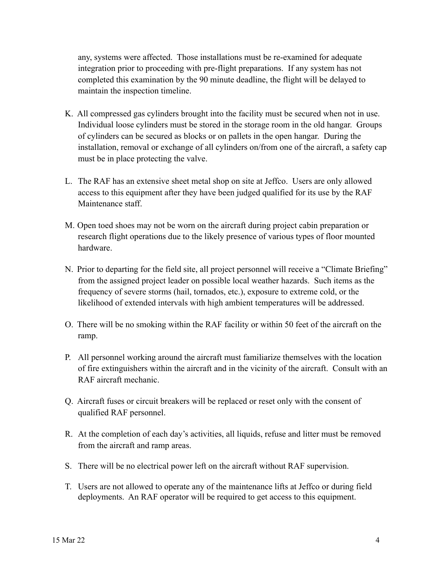any, systems were affected. Those installations must be re-examined for adequate integration prior to proceeding with pre-flight preparations. If any system has not completed this examination by the 90 minute deadline, the flight will be delayed to maintain the inspection timeline.

- K. All compressed gas cylinders brought into the facility must be secured when not in use. Individual loose cylinders must be stored in the storage room in the old hangar. Groups of cylinders can be secured as blocks or on pallets in the open hangar. During the installation, removal or exchange of all cylinders on/from one of the aircraft, a safety cap must be in place protecting the valve.
- L. The RAF has an extensive sheet metal shop on site at Jeffco. Users are only allowed access to this equipment after they have been judged qualified for its use by the RAF Maintenance staff.
- M. Open toed shoes may not be worn on the aircraft during project cabin preparation or research flight operations due to the likely presence of various types of floor mounted hardware.
- N. Prior to departing for the field site, all project personnel will receive a "Climate Briefing" from the assigned project leader on possible local weather hazards. Such items as the frequency of severe storms (hail, tornados, etc.), exposure to extreme cold, or the likelihood of extended intervals with high ambient temperatures will be addressed.
- O. There will be no smoking within the RAF facility or within 50 feet of the aircraft on the ramp.
- P. All personnel working around the aircraft must familiarize themselves with the location of fire extinguishers within the aircraft and in the vicinity of the aircraft. Consult with an RAF aircraft mechanic.
- Q. Aircraft fuses or circuit breakers will be replaced or reset only with the consent of qualified RAF personnel.
- R. At the completion of each day's activities, all liquids, refuse and litter must be removed from the aircraft and ramp areas.
- S. There will be no electrical power left on the aircraft without RAF supervision.
- T. Users are not allowed to operate any of the maintenance lifts at Jeffco or during field deployments. An RAF operator will be required to get access to this equipment.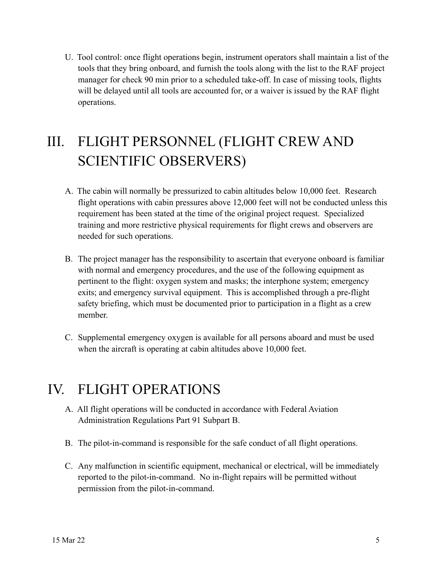U. Tool control: once flight operations begin, instrument operators shall maintain a list of the tools that they bring onboard, and furnish the tools along with the list to the RAF project manager for check 90 min prior to a scheduled take-off. In case of missing tools, flights will be delayed until all tools are accounted for, or a waiver is issued by the RAF flight operations.

## <span id="page-4-0"></span>III. FLIGHT PERSONNEL (FLIGHT CREW AND SCIENTIFIC OBSERVERS)

- A. The cabin will normally be pressurized to cabin altitudes below 10,000 feet. Research flight operations with cabin pressures above 12,000 feet will not be conducted unless this requirement has been stated at the time of the original project request. Specialized training and more restrictive physical requirements for flight crews and observers are needed for such operations.
- B. The project manager has the responsibility to ascertain that everyone onboard is familiar with normal and emergency procedures, and the use of the following equipment as pertinent to the flight: oxygen system and masks; the interphone system; emergency exits; and emergency survival equipment. This is accomplished through a pre-flight safety briefing, which must be documented prior to participation in a flight as a crew member.
- C. Supplemental emergency oxygen is available for all persons aboard and must be used when the aircraft is operating at cabin altitudes above 10,000 feet.

### <span id="page-4-1"></span>IV. FLIGHT OPERATIONS

- A. All flight operations will be conducted in accordance with Federal Aviation Administration Regulations Part 91 Subpart B.
- B. The pilot-in-command is responsible for the safe conduct of all flight operations.
- C. Any malfunction in scientific equipment, mechanical or electrical, will be immediately reported to the pilot-in-command. No in-flight repairs will be permitted without permission from the pilot-in-command.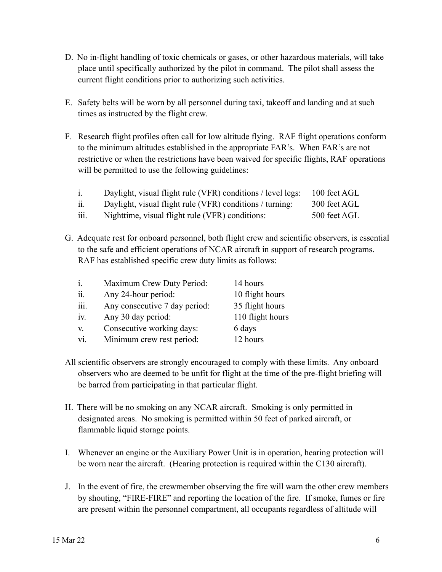- D. No in-flight handling of toxic chemicals or gases, or other hazardous materials, will take place until specifically authorized by the pilot in command. The pilot shall assess the current flight conditions prior to authorizing such activities.
- E. Safety belts will be worn by all personnel during taxi, takeoff and landing and at such times as instructed by the flight crew.
- F. Research flight profiles often call for low altitude flying. RAF flight operations conform to the minimum altitudes established in the appropriate FAR's. When FAR's are not restrictive or when the restrictions have been waived for specific flights, RAF operations will be permitted to use the following guidelines:

| 1.               | Daylight, visual flight rule (VFR) conditions / level legs: | 100 feet AGL |
|------------------|-------------------------------------------------------------|--------------|
| $\cdot$ .<br>11. | Daylight, visual flight rule (VFR) conditions / turning:    | 300 feet AGL |
| iii.             | Nighttime, visual flight rule (VFR) conditions:             | 500 feet AGL |

G. Adequate rest for onboard personnel, both flight crew and scientific observers, is essential to the safe and efficient operations of NCAR aircraft in support of research programs. RAF has established specific crew duty limits as follows:

| $\mathbf{i}$ . | Maximum Crew Duty Period:     | 14 hours         |
|----------------|-------------------------------|------------------|
| ii.            | Any 24-hour period:           | 10 flight hours  |
| iii.           | Any consecutive 7 day period: | 35 flight hours  |
| iv.            | Any 30 day period:            | 110 flight hours |
| V.             | Consecutive working days:     | 6 days           |
| vi.            | Minimum crew rest period:     | 12 hours         |

- All scientific observers are strongly encouraged to comply with these limits. Any onboard observers who are deemed to be unfit for flight at the time of the pre-flight briefing will be barred from participating in that particular flight.
- H. There will be no smoking on any NCAR aircraft. Smoking is only permitted in designated areas. No smoking is permitted within 50 feet of parked aircraft, or flammable liquid storage points.
- I. Whenever an engine or the Auxiliary Power Unit is in operation, hearing protection will be worn near the aircraft. (Hearing protection is required within the C130 aircraft).
- J. In the event of fire, the crewmember observing the fire will warn the other crew members by shouting, "FIRE-FIRE" and reporting the location of the fire. If smoke, fumes or fire are present within the personnel compartment, all occupants regardless of altitude will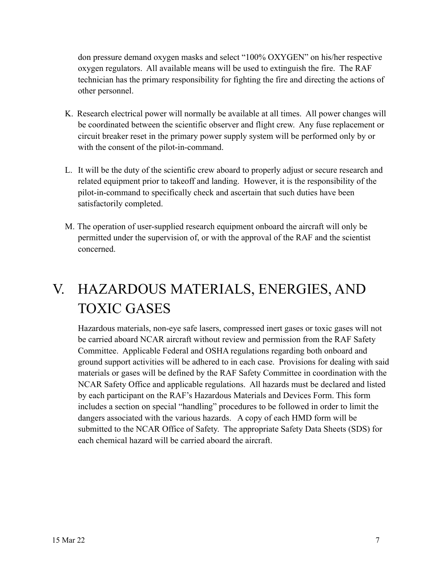don pressure demand oxygen masks and select "100% OXYGEN" on his/her respective oxygen regulators. All available means will be used to extinguish the fire. The RAF technician has the primary responsibility for fighting the fire and directing the actions of other personnel.

- K. Research electrical power will normally be available at all times. All power changes will be coordinated between the scientific observer and flight crew. Any fuse replacement or circuit breaker reset in the primary power supply system will be performed only by or with the consent of the pilot-in-command.
- L. It will be the duty of the scientific crew aboard to properly adjust or secure research and related equipment prior to takeoff and landing. However, it is the responsibility of the pilot-in-command to specifically check and ascertain that such duties have been satisfactorily completed.
- M. The operation of user-supplied research equipment onboard the aircraft will only be permitted under the supervision of, or with the approval of the RAF and the scientist concerned.

### <span id="page-6-0"></span>V. HAZARDOUS MATERIALS, ENERGIES, AND TOXIC GASES

Hazardous materials, non-eye safe lasers, compressed inert gases or toxic gases will not be carried aboard NCAR aircraft without review and permission from the RAF Safety Committee. Applicable Federal and OSHA regulations regarding both onboard and ground support activities will be adhered to in each case. Provisions for dealing with said materials or gases will be defined by the RAF Safety Committee in coordination with the NCAR Safety Office and applicable regulations. All hazards must be declared and listed by each participant on the RAF's Hazardous Materials and Devices Form. This form includes a section on special "handling" procedures to be followed in order to limit the dangers associated with the various hazards. A copy of each HMD form will be submitted to the NCAR Office of Safety. The appropriate Safety Data Sheets (SDS) for each chemical hazard will be carried aboard the aircraft.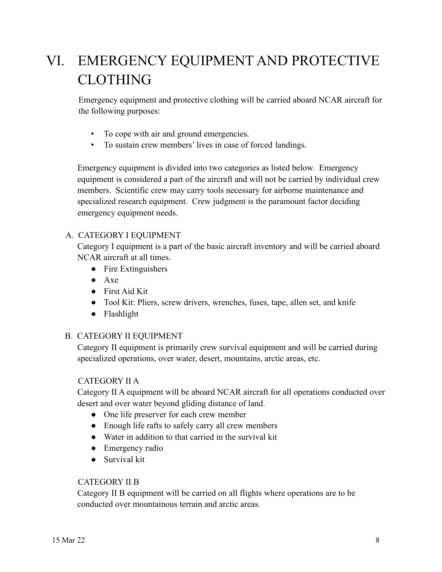## <span id="page-7-0"></span>VI. EMERGENCY EQUIPMENT AND PROTECTIVE CLOTHING

Emergency equipment and protective clothing will be carried aboard NCAR aircraft for the following purposes:

- To cope with air and ground emergencies.
- To sustain crew members' lives in case of forced landings.

Emergency equipment is divided into two categories as listed below. Emergency equipment is considered a part of the aircraft and will not be carried by individual crew members. Scientific crew may carry tools necessary for airborne maintenance and specialized research equipment. Crew judgment is the paramount factor deciding emergency equipment needs.

#### A. CATEGORY I EQUIPMENT

Category I equipment is a part of the basic aircraft inventory and will be carried aboard NCAR aircraft at all times.

- Fire Extinguishers
- Axe
- First Aid Kit
- Tool Kit: Pliers, screw drivers, wrenches, fuses, tape, allen set, and knife
- Flashlight

#### B. CATEGORY II EQUIPMENT

Category II equipment is primarily crew survival equipment and will be carried during specialized operations, over water, desert, mountains, arctic areas, etc.

#### CATEGORY II A

Category II A equipment will be aboard NCAR aircraft for all operations conducted over desert and over water beyond gliding distance of land.

- One life preserver for each crew member
- Enough life rafts to safely carry all crew members
- Water in addition to that carried in the survival kit
- Emergency radio
- Survival kit

#### CATEGORY II B

Category II B equipment will be carried on all flights where operations are to be conducted over mountainous terrain and arctic areas.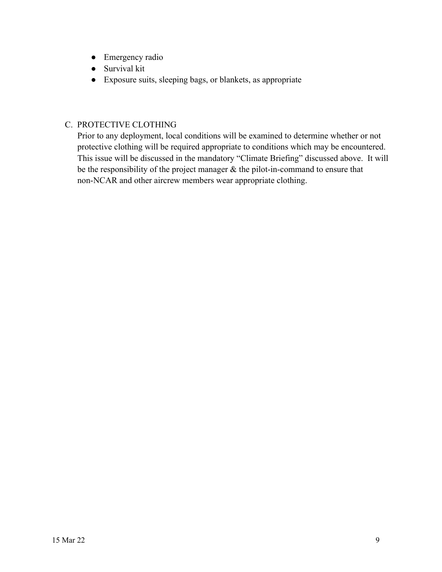- Emergency radio
- Survival kit
- Exposure suits, sleeping bags, or blankets, as appropriate

#### C. PROTECTIVE CLOTHING

Prior to any deployment, local conditions will be examined to determine whether or not protective clothing will be required appropriate to conditions which may be encountered. This issue will be discussed in the mandatory "Climate Briefing" discussed above. It will be the responsibility of the project manager & the pilot-in-command to ensure that non-NCAR and other aircrew members wear appropriate clothing.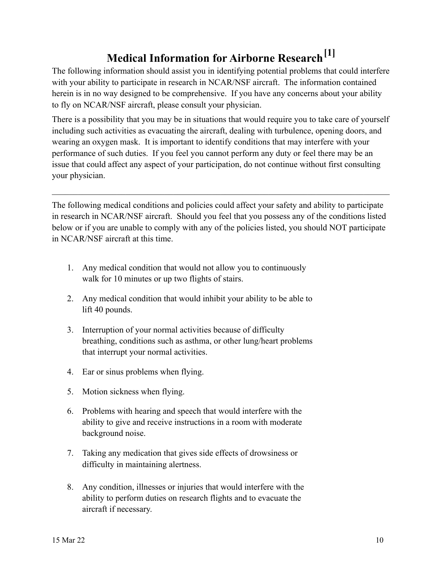## **Medical Information for Airborne Research [1]**

<span id="page-9-0"></span>The following information should assist you in identifying potential problems that could interfere with your ability to participate in research in NCAR/NSF aircraft. The information contained herein is in no way designed to be comprehensive. If you have any concerns about your ability to fly on NCAR/NSF aircraft, please consult your physician.

There is a possibility that you may be in situations that would require you to take care of yourself including such activities as evacuating the aircraft, dealing with turbulence, opening doors, and wearing an oxygen mask. It is important to identify conditions that may interfere with your performance of such duties. If you feel you cannot perform any duty or feel there may be an issue that could affect any aspect of your participation, do not continue without first consulting your physician.

The following medical conditions and policies could affect your safety and ability to participate in research in NCAR/NSF aircraft. Should you feel that you possess any of the conditions listed below or if you are unable to comply with any of the policies listed, you should NOT participate in NCAR/NSF aircraft at this time.

 $\mathcal{L}_\mathcal{L} = \{ \mathcal{L}_\mathcal{L} = \{ \mathcal{L}_\mathcal{L} = \{ \mathcal{L}_\mathcal{L} = \{ \mathcal{L}_\mathcal{L} = \{ \mathcal{L}_\mathcal{L} = \{ \mathcal{L}_\mathcal{L} = \{ \mathcal{L}_\mathcal{L} = \{ \mathcal{L}_\mathcal{L} = \{ \mathcal{L}_\mathcal{L} = \{ \mathcal{L}_\mathcal{L} = \{ \mathcal{L}_\mathcal{L} = \{ \mathcal{L}_\mathcal{L} = \{ \mathcal{L}_\mathcal{L} = \{ \mathcal{L}_\mathcal{$ 

- 1. Any medical condition that would not allow you to continuously walk for 10 minutes or up two flights of stairs.
- 2. Any medical condition that would inhibit your ability to be able to lift 40 pounds.
- 3. Interruption of your normal activities because of difficulty breathing, conditions such as asthma, or other lung/heart problems that interrupt your normal activities.
- 4. Ear or sinus problems when flying.
- 5. Motion sickness when flying.
- 6. Problems with hearing and speech that would interfere with the ability to give and receive instructions in a room with moderate background noise.
- 7. Taking any medication that gives side effects of drowsiness or difficulty in maintaining alertness.
- 8. Any condition, illnesses or injuries that would interfere with the ability to perform duties on research flights and to evacuate the aircraft if necessary.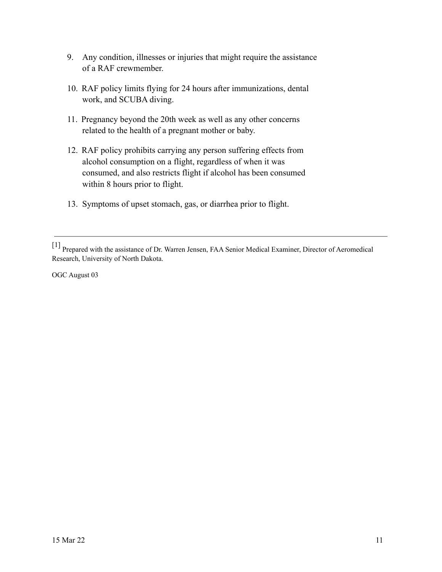- 9. Any condition, illnesses or injuries that might require the assistance of a RAF crewmember.
- 10. RAF policy limits flying for 24 hours after immunizations, dental work, and SCUBA diving.
- 11. Pregnancy beyond the 20th week as well as any other concerns related to the health of a pregnant mother or baby.
- 12. RAF policy prohibits carrying any person suffering effects from alcohol consumption on a flight, regardless of when it was consumed, and also restricts flight if alcohol has been consumed within 8 hours prior to flight.
- 13. Symptoms of upset stomach, gas, or diarrhea prior to flight.

OGC August 03

<sup>[1]</sup> Prepared with the assistance of Dr. Warren Jensen, FAA Senior Medical Examiner, Director of Aeromedical Research, University of North Dakota.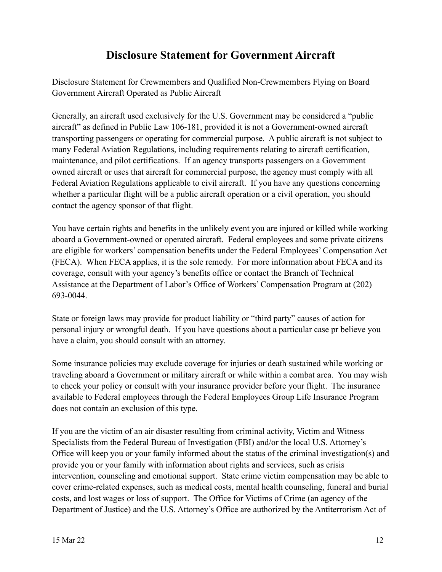### **Disclosure Statement for Government Aircraft**

<span id="page-11-0"></span>Disclosure Statement for Crewmembers and Qualified Non-Crewmembers Flying on Board Government Aircraft Operated as Public Aircraft

Generally, an aircraft used exclusively for the U.S. Government may be considered a "public aircraft" as defined in Public Law 106-181, provided it is not a Government-owned aircraft transporting passengers or operating for commercial purpose. A public aircraft is not subject to many Federal Aviation Regulations, including requirements relating to aircraft certification, maintenance, and pilot certifications. If an agency transports passengers on a Government owned aircraft or uses that aircraft for commercial purpose, the agency must comply with all Federal Aviation Regulations applicable to civil aircraft. If you have any questions concerning whether a particular flight will be a public aircraft operation or a civil operation, you should contact the agency sponsor of that flight.

You have certain rights and benefits in the unlikely event you are injured or killed while working aboard a Government-owned or operated aircraft. Federal employees and some private citizens are eligible for workers' compensation benefits under the Federal Employees' Compensation Act (FECA). When FECA applies, it is the sole remedy. For more information about FECA and its coverage, consult with your agency's benefits office or contact the Branch of Technical Assistance at the Department of Labor's Office of Workers' Compensation Program at (202) 693-0044.

State or foreign laws may provide for product liability or "third party" causes of action for personal injury or wrongful death. If you have questions about a particular case pr believe you have a claim, you should consult with an attorney.

Some insurance policies may exclude coverage for injuries or death sustained while working or traveling aboard a Government or military aircraft or while within a combat area. You may wish to check your policy or consult with your insurance provider before your flight. The insurance available to Federal employees through the Federal Employees Group Life Insurance Program does not contain an exclusion of this type.

If you are the victim of an air disaster resulting from criminal activity, Victim and Witness Specialists from the Federal Bureau of Investigation (FBI) and/or the local U.S. Attorney's Office will keep you or your family informed about the status of the criminal investigation(s) and provide you or your family with information about rights and services, such as crisis intervention, counseling and emotional support. State crime victim compensation may be able to cover crime-related expenses, such as medical costs, mental health counseling, funeral and burial costs, and lost wages or loss of support. The Office for Victims of Crime (an agency of the Department of Justice) and the U.S. Attorney's Office are authorized by the Antiterrorism Act of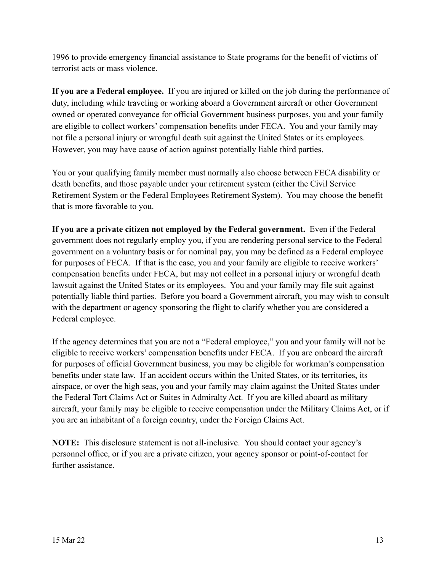1996 to provide emergency financial assistance to State programs for the benefit of victims of terrorist acts or mass violence.

**If you are a Federal employee.** If you are injured or killed on the job during the performance of duty, including while traveling or working aboard a Government aircraft or other Government owned or operated conveyance for official Government business purposes, you and your family are eligible to collect workers' compensation benefits under FECA. You and your family may not file a personal injury or wrongful death suit against the United States or its employees. However, you may have cause of action against potentially liable third parties.

You or your qualifying family member must normally also choose between FECA disability or death benefits, and those payable under your retirement system (either the Civil Service Retirement System or the Federal Employees Retirement System). You may choose the benefit that is more favorable to you.

**If you are a private citizen not employed by the Federal government.** Even if the Federal government does not regularly employ you, if you are rendering personal service to the Federal government on a voluntary basis or for nominal pay, you may be defined as a Federal employee for purposes of FECA. If that is the case, you and your family are eligible to receive workers' compensation benefits under FECA, but may not collect in a personal injury or wrongful death lawsuit against the United States or its employees. You and your family may file suit against potentially liable third parties. Before you board a Government aircraft, you may wish to consult with the department or agency sponsoring the flight to clarify whether you are considered a Federal employee.

If the agency determines that you are not a "Federal employee," you and your family will not be eligible to receive workers' compensation benefits under FECA. If you are onboard the aircraft for purposes of official Government business, you may be eligible for workman's compensation benefits under state law. If an accident occurs within the United States, or its territories, its airspace, or over the high seas, you and your family may claim against the United States under the Federal Tort Claims Act or Suites in Admiralty Act. If you are killed aboard as military aircraft, your family may be eligible to receive compensation under the Military Claims Act, or if you are an inhabitant of a foreign country, under the Foreign Claims Act.

**NOTE:** This disclosure statement is not all-inclusive. You should contact your agency's personnel office, or if you are a private citizen, your agency sponsor or point-of-contact for further assistance.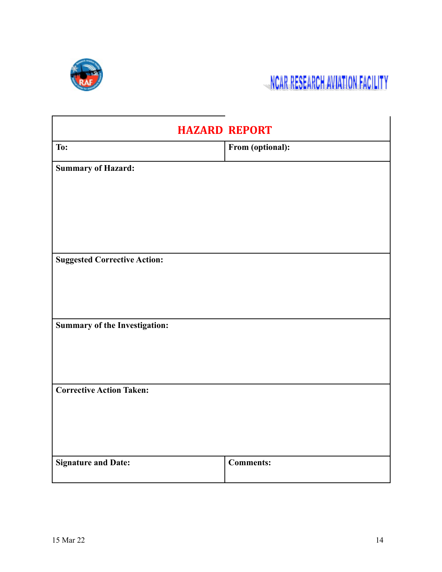

# NCAR RESEARCH AVIATION FACILITY

|                                      | <b>HAZARD REPORT</b> |
|--------------------------------------|----------------------|
| To:                                  | From (optional):     |
| <b>Summary of Hazard:</b>            |                      |
|                                      |                      |
|                                      |                      |
|                                      |                      |
|                                      |                      |
| <b>Suggested Corrective Action:</b>  |                      |
|                                      |                      |
|                                      |                      |
| <b>Summary of the Investigation:</b> |                      |
|                                      |                      |
|                                      |                      |
| <b>Corrective Action Taken:</b>      |                      |
|                                      |                      |
|                                      |                      |
|                                      |                      |
| <b>Signature and Date:</b>           | <b>Comments:</b>     |